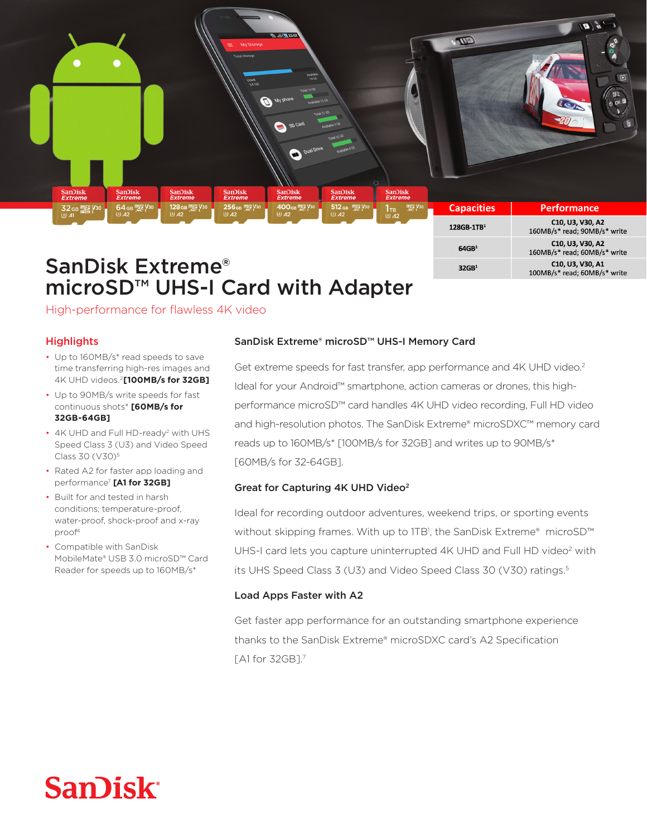

microSD<sup>™</sup> UHS-I Card with Adapter

High-performance for flawless 4K video

### **Highlights**

- Up to 160MB/s\* read speeds to save time transferring high-res images and 4K UHD videos.<sup>2</sup>[100MB/s for 32GB]
- Up to 90MB/s write speeds for fast continuous shots\* [60MB/s for **[GB-64GB32**
- 4K UHD and Full HD-ready<sup>2</sup> with UHS Speed Class 3 (U3) and Video Speed Class 30 (V30)<sup>5</sup>
- Rated A2 for faster app loading and performance<sup>7</sup> [A1 for 32GB]
- Built for and tested in harsh conditions; temperature-proof, water-proof, shock-proof and x-ray proof<sup>4</sup>
- Compatible with SanDisk MobileMate® USB 3.0 microSD™ Card Reader for speeds up to 160MB/s\*

### SanDisk Extreme® microSD™ UHS-I Memory Card

Get extreme speeds for fast transfer, app performance and 4K UHD video.<sup>2</sup> performance microSD<sup>™</sup> card handles 4K UHD video recording, Full HD video ldeal for your Android™ smartphone, action cameras or drones, this highand high-resolution photos. The SanDisk Extreme® microSDXC™ memory card reads up to 160MB/s\* [100MB/s for 32GB] and writes up to 90MB/s\* [60MB/s for 32-64 GB].

#### Great for Capturing 4K UHD Video<sup>2</sup>

Ideal for recording outdoor adventures, weekend trips, or sporting events without skipping frames. With up to 1TB<sup>1</sup>, the SanDisk Extreme® microSD<sup>™</sup> UHS-I card lets you capture uninterrupted 4K UHD and Full HD video<sup>2</sup> with its UHS Speed Class 3 (U3) and Video Speed Class 30 (V30) ratings.<sup>5</sup>

#### Load Apps Faster with A2

Get faster app performance for an outstanding smartphone experience thanks to the SanDisk Extreme® microSDXC card's A2 Specification  $TA1$  for 32GB1.7